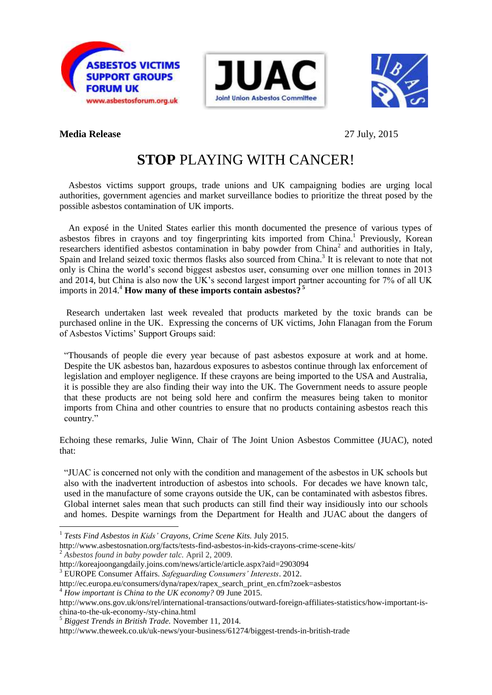





## **Media Release** 27 July, 2015

1

## **STOP** PLAYING WITH CANCER!

 Asbestos victims support groups, trade unions and UK campaigning bodies are urging local authorities, government agencies and market surveillance bodies to prioritize the threat posed by the possible asbestos contamination of UK imports.

 An exposé in the United States earlier this month documented the presence of various types of asbestos fibres in crayons and toy fingerprinting kits imported from China.<sup>1</sup> Previously, Korean researchers identified asbestos contamination in baby powder from China<sup>2</sup> and authorities in Italy, Spain and Ireland seized toxic thermos flasks also sourced from China.<sup>3</sup> It is relevant to note that not only is China the world's second biggest asbestos user, consuming over one million tonnes in 2013 and 2014, but China is also now the UK's second largest import partner accounting for 7% of all UK imports in 2014.<sup>4</sup> **How many of these imports contain asbestos?**<sup>5</sup>

 Research undertaken last week revealed that products marketed by the toxic brands can be purchased online in the UK. Expressing the concerns of UK victims, John Flanagan from the Forum of Asbestos Victims' Support Groups said:

"Thousands of people die every year because of past asbestos exposure at work and at home. Despite the UK asbestos ban, hazardous exposures to asbestos continue through lax enforcement of legislation and employer negligence. If these crayons are being imported to the USA and Australia, it is possible they are also finding their way into the UK. The Government needs to assure people that these products are not being sold here and confirm the measures being taken to monitor imports from China and other countries to ensure that no products containing asbestos reach this country."

Echoing these remarks, Julie Winn, Chair of The Joint Union Asbestos Committee (JUAC), noted that:

"JUAC is concerned not only with the condition and management of the asbestos in UK schools but also with the inadvertent introduction of asbestos into schools. For decades we have known talc, used in the manufacture of some crayons outside the UK, can be contaminated with asbestos fibres. Global internet sales mean that such products can still find their way insidiously into our schools and homes. Despite warnings from the Department for Health and JUAC about the dangers of

http://www.asbestosnation.org/facts/tests-find-asbestos-in-kids-crayons-crime-scene-kits/ <sup>2</sup> *Asbestos found in baby powder talc.* April 2, 2009.

http://koreajoongangdaily.joins.com/news/article/article.aspx?aid=2903094

<sup>3</sup> EUROPE Consumer Affairs. *Safeguarding Consumers' Interests*. 2012.

<sup>4</sup> *How important is China to the UK economy?* 09 June 2015.

<sup>1</sup> *Tests Find Asbestos in Kids' [Crayons,](http://www.asbestosnation.org/facts/tests-find-asbestos-in-kids-crayons-crime-scene-kits/) Crime Scene Kits.* July 2015.

http://ec.europa.eu/consumers/dyna/rapex/rapex\_search\_print\_en.cfm?zoek=asbestos

http://www.ons.gov.uk/ons/rel/international-transactions/outward-foreign-affiliates-statistics/how-important-ischina-to-the-uk-economy-/sty-china.html

<sup>5</sup> *Biggest Trends in British Trade.* November 11, 2014.

http://www.theweek.co.uk/uk-news/your-business/61274/biggest-trends-in-british-trade